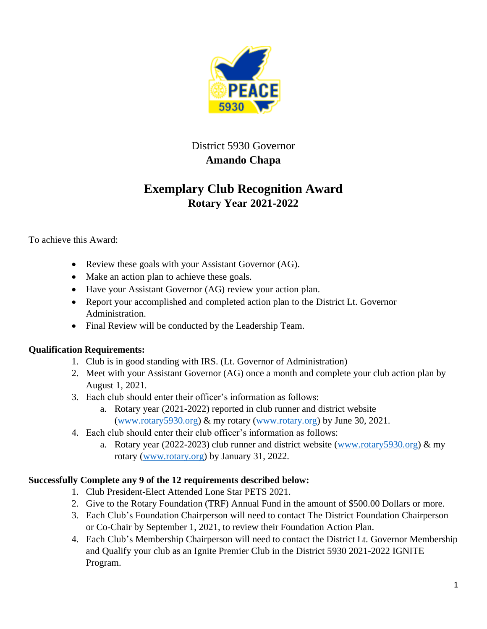

## District 5930 Governor **Amando Chapa**

## **Exemplary Club Recognition Award Rotary Year 2021-2022**

To achieve this Award:

- Review these goals with your Assistant Governor (AG).
- Make an action plan to achieve these goals.
- Have your Assistant Governor (AG) review your action plan.
- Report your accomplished and completed action plan to the District Lt. Governor Administration.
- Final Review will be conducted by the Leadership Team.

## **Qualification Requirements:**

- 1. Club is in good standing with IRS. (Lt. Governor of Administration)
- 2. Meet with your Assistant Governor (AG) once a month and complete your club action plan by August 1, 2021.
- 3. Each club should enter their officer's information as follows:
	- a. Rotary year (2021-2022) reported in club runner and district website [\(www.rotary5930.org\)](http://www.rotary5930.org/) & my rotary [\(www.rotary.org\)](http://www.rotary.org/) by June 30, 2021.
- 4. Each club should enter their club officer's information as follows:
	- a. Rotary year (2022-2023) club runner and district website [\(www.rotary5930.org\)](http://www.rotary5930.org/)  $\&$  my rotary [\(www.rotary.org\)](http://www.rotary.org/) by January 31, 2022.

## **Successfully Complete any 9 of the 12 requirements described below:**

- 1. Club President-Elect Attended Lone Star PETS 2021.
- 2. Give to the Rotary Foundation (TRF) Annual Fund in the amount of \$500.00 Dollars or more.
- 3. Each Club's Foundation Chairperson will need to contact The District Foundation Chairperson or Co-Chair by September 1, 2021, to review their Foundation Action Plan.
- 4. Each Club's Membership Chairperson will need to contact the District Lt. Governor Membership and Qualify your club as an Ignite Premier Club in the District 5930 2021-2022 IGNITE Program.